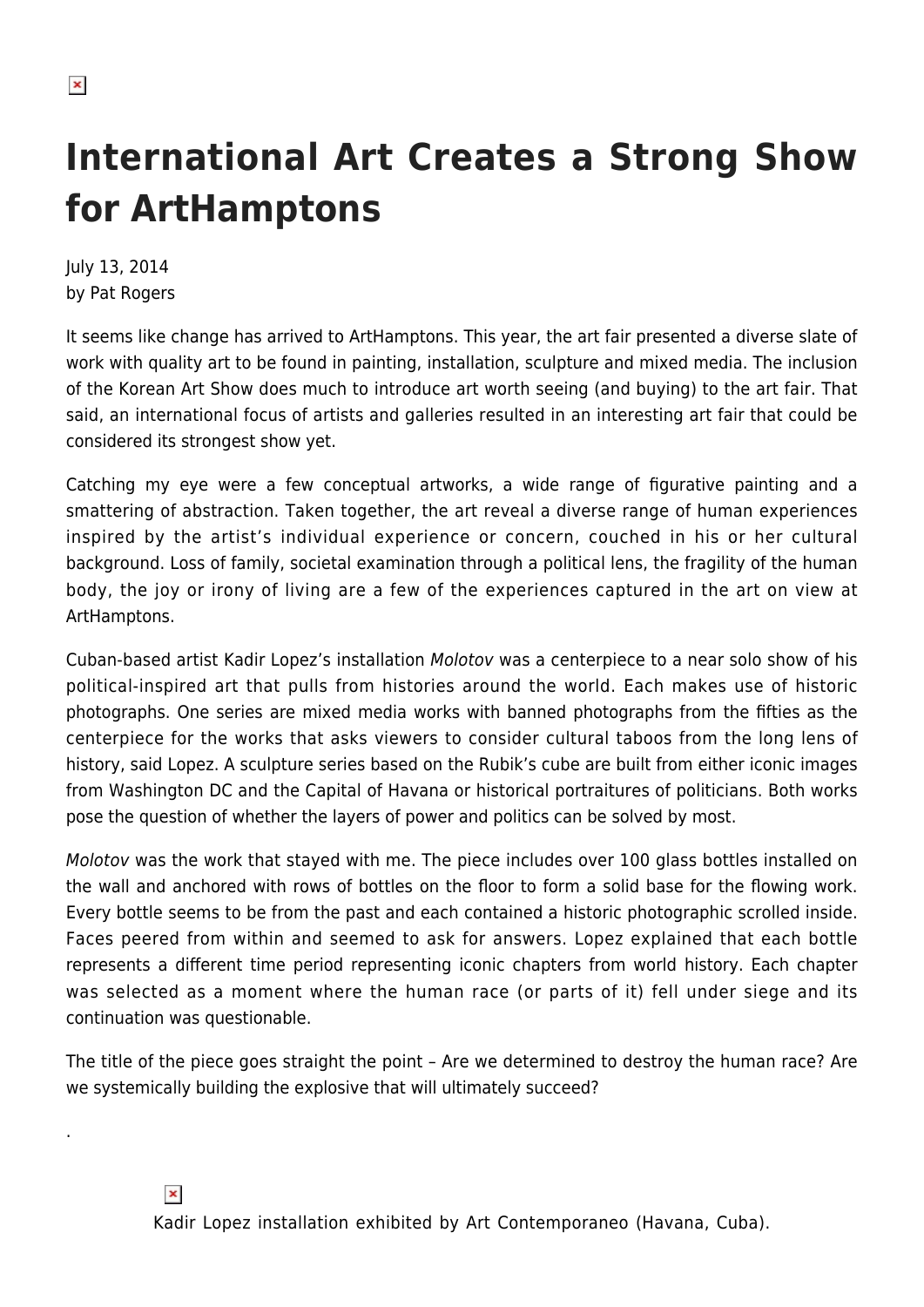.

## **International Art Creates a Strong Show for ArtHamptons**

July 13, 2014 by Pat Rogers

It seems like change has arrived to ArtHamptons. This year, the art fair presented a diverse slate of work with quality art to be found in painting, installation, sculpture and mixed media. The inclusion of the Korean Art Show does much to introduce art worth seeing (and buying) to the art fair. That said, an international focus of artists and galleries resulted in an interesting art fair that could be considered its strongest show yet.

Catching my eye were a few conceptual artworks, a wide range of figurative painting and a smattering of abstraction. Taken together, the art reveal a diverse range of human experiences inspired by the artist's individual experience or concern, couched in his or her cultural background. Loss of family, societal examination through a political lens, the fragility of the human body, the joy or irony of living are a few of the experiences captured in the art on view at ArtHamptons.

Cuban-based artist Kadir Lopez's installation Molotov was a centerpiece to a near solo show of his political-inspired art that pulls from histories around the world. Each makes use of historic photographs. One series are mixed media works with banned photographs from the fifties as the centerpiece for the works that asks viewers to consider cultural taboos from the long lens of history, said Lopez. A sculpture series based on the Rubik's cube are built from either iconic images from Washington DC and the Capital of Havana or historical portraitures of politicians. Both works pose the question of whether the layers of power and politics can be solved by most.

Molotov was the work that stayed with me. The piece includes over 100 glass bottles installed on the wall and anchored with rows of bottles on the floor to form a solid base for the flowing work. Every bottle seems to be from the past and each contained a historic photographic scrolled inside. Faces peered from within and seemed to ask for answers. Lopez explained that each bottle represents a different time period representing iconic chapters from world history. Each chapter was selected as a moment where the human race (or parts of it) fell under siege and its continuation was questionable.

The title of the piece goes straight the point – Are we determined to destroy the human race? Are we systemically building the explosive that will ultimately succeed?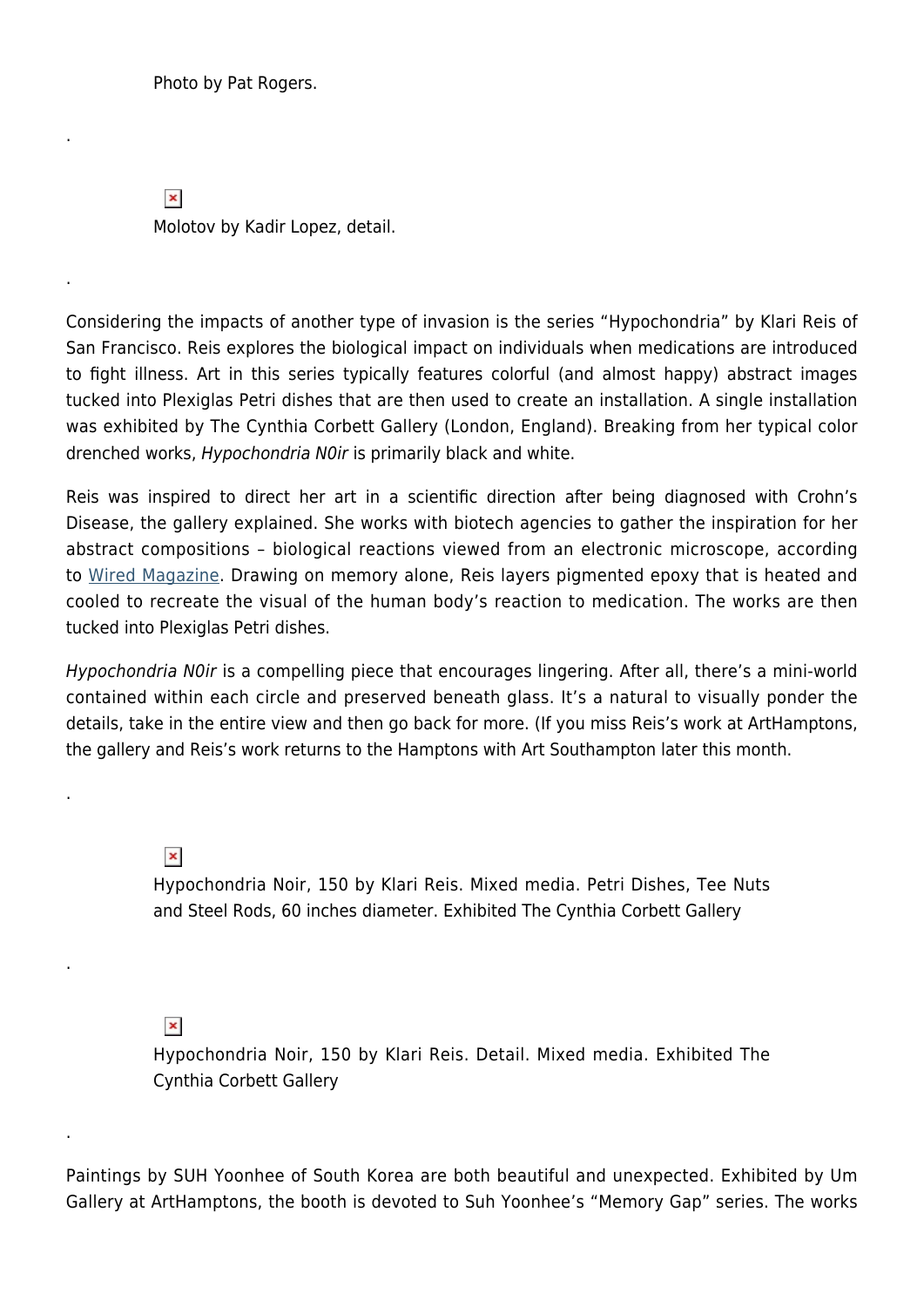Photo by Pat Rogers.

.

.

.

.

.

 $\pmb{\times}$ Molotov by Kadir Lopez, detail.

Considering the impacts of another type of invasion is the series "Hypochondria" by Klari Reis of San Francisco. Reis explores the biological impact on individuals when medications are introduced to fight illness. Art in this series typically features colorful (and almost happy) abstract images tucked into Plexiglas Petri dishes that are then used to create an installation. A single installation was exhibited by The Cynthia Corbett Gallery (London, England). Breaking from her typical color drenched works, Hypochondria N0ir is primarily black and white.

Reis was inspired to direct her art in a scientific direction after being diagnosed with Crohn's Disease, the gallery explained. She works with biotech agencies to gather the inspiration for her abstract compositions – biological reactions viewed from an electronic microscope, according to [Wired Magazine.](http://www.thecynthiacorbettgallery.com/Admin/uploads/Klari-Reis_WIRED-aUG-2010.pdf) Drawing on memory alone, Reis layers pigmented epoxy that is heated and cooled to recreate the visual of the human body's reaction to medication. The works are then tucked into Plexiglas Petri dishes.

Hypochondria N0ir is a compelling piece that encourages lingering. After all, there's a mini-world contained within each circle and preserved beneath glass. It's a natural to visually ponder the details, take in the entire view and then go back for more. (If you miss Reis's work at ArtHamptons, the gallery and Reis's work returns to the Hamptons with Art Southampton later this month.

 $\pmb{\times}$ 

Hypochondria Noir, 150 by Klari Reis. Mixed media. Petri Dishes, Tee Nuts and Steel Rods, 60 inches diameter. Exhibited The Cynthia Corbett Gallery

## $\pmb{\times}$

Hypochondria Noir, 150 by Klari Reis. Detail. Mixed media. Exhibited The Cynthia Corbett Gallery

Paintings by SUH Yoonhee of South Korea are both beautiful and unexpected. Exhibited by Um Gallery at ArtHamptons, the booth is devoted to Suh Yoonhee's "Memory Gap" series. The works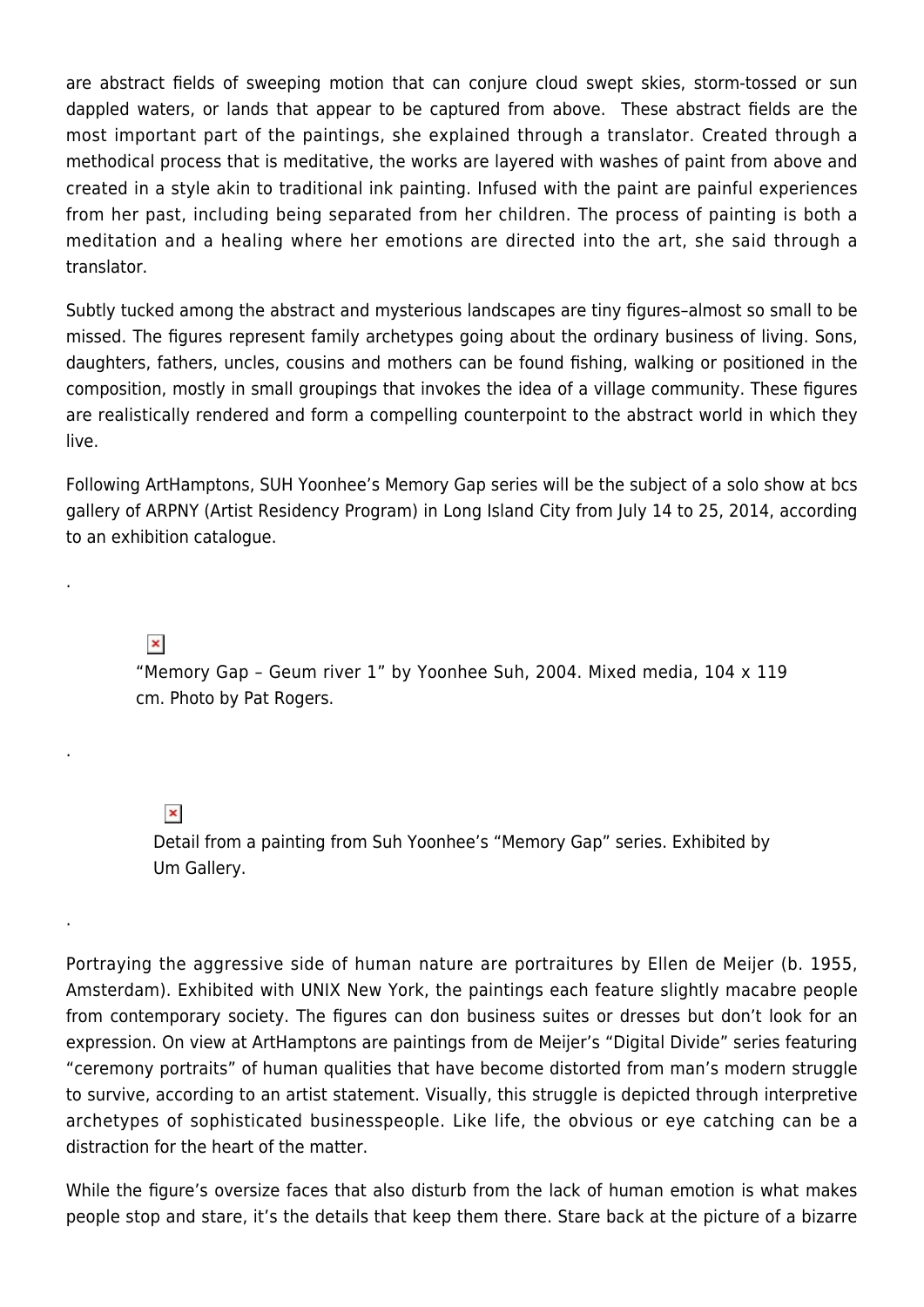are abstract fields of sweeping motion that can conjure cloud swept skies, storm-tossed or sun dappled waters, or lands that appear to be captured from above. These abstract fields are the most important part of the paintings, she explained through a translator. Created through a methodical process that is meditative, the works are layered with washes of paint from above and created in a style akin to traditional ink painting. Infused with the paint are painful experiences from her past, including being separated from her children. The process of painting is both a meditation and a healing where her emotions are directed into the art, she said through a translator.

Subtly tucked among the abstract and mysterious landscapes are tiny figures–almost so small to be missed. The figures represent family archetypes going about the ordinary business of living. Sons, daughters, fathers, uncles, cousins and mothers can be found fishing, walking or positioned in the composition, mostly in small groupings that invokes the idea of a village community. These figures are realistically rendered and form a compelling counterpoint to the abstract world in which they live.

Following ArtHamptons, SUH Yoonhee's Memory Gap series will be the subject of a solo show at bcs gallery of ARPNY (Artist Residency Program) in Long Island City from July 14 to 25, 2014, according to an exhibition catalogue.

 $\pmb{\times}$ 

.

.

.

"Memory Gap – Geum river 1" by Yoonhee Suh, 2004. Mixed media, 104 x 119 cm. Photo by Pat Rogers.

 $\pmb{\times}$ 

Detail from a painting from Suh Yoonhee's "Memory Gap" series. Exhibited by Um Gallery.

Portraying the aggressive side of human nature are portraitures by Ellen de Meijer (b. 1955, Amsterdam). Exhibited with UNIX New York, the paintings each feature slightly macabre people from contemporary society. The figures can don business suites or dresses but don't look for an expression. On view at ArtHamptons are paintings from de Meijer's "Digital Divide" series featuring "ceremony portraits" of human qualities that have become distorted from man's modern struggle to survive, according to an artist statement. Visually, this struggle is depicted through interpretive archetypes of sophisticated businesspeople. Like life, the obvious or eye catching can be a distraction for the heart of the matter.

While the figure's oversize faces that also disturb from the lack of human emotion is what makes people stop and stare, it's the details that keep them there. Stare back at the picture of a bizarre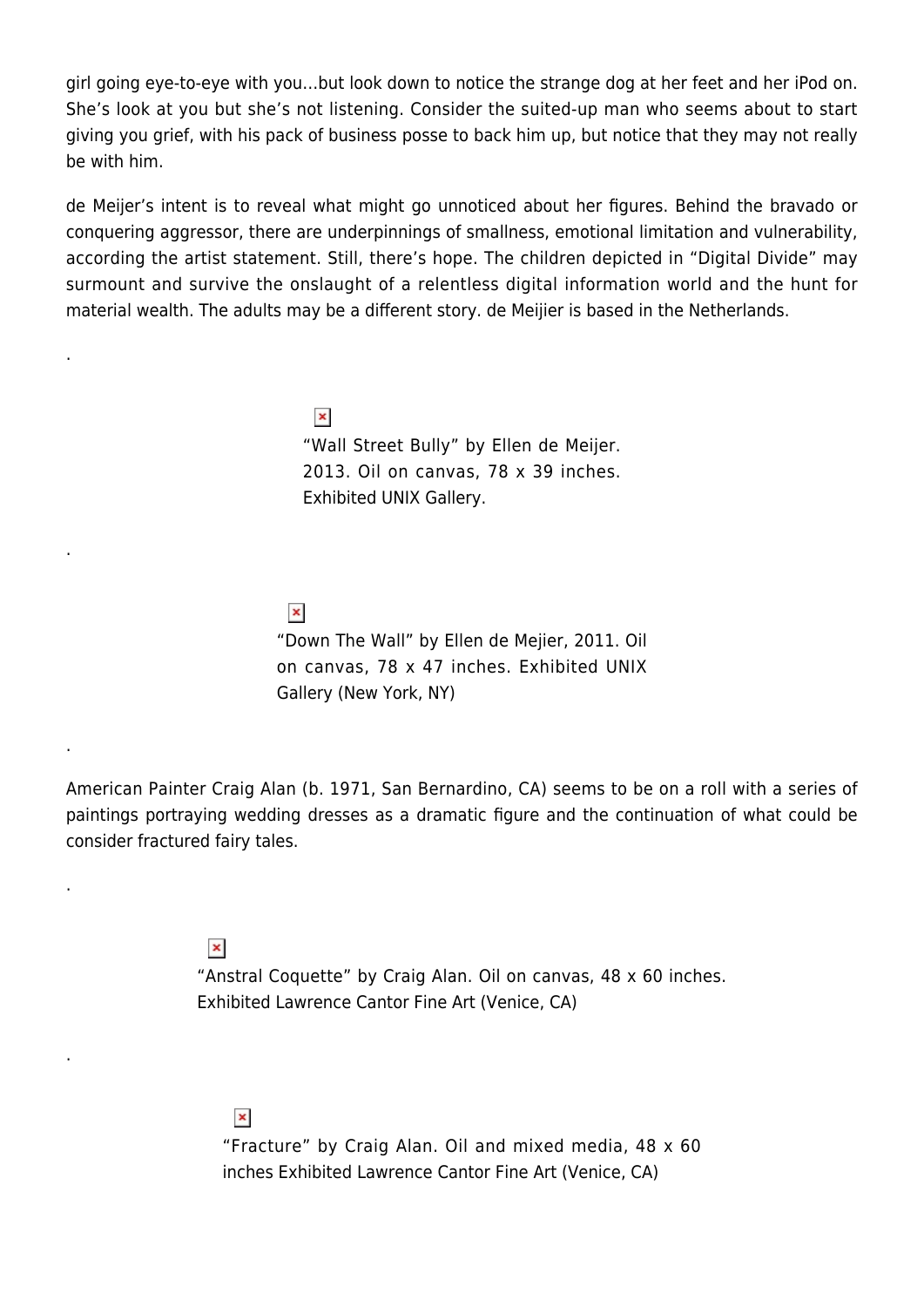girl going eye-to-eye with you…but look down to notice the strange dog at her feet and her iPod on. She's look at you but she's not listening. Consider the suited-up man who seems about to start giving you grief, with his pack of business posse to back him up, but notice that they may not really be with him.

de Meijer's intent is to reveal what might go unnoticed about her figures. Behind the bravado or conquering aggressor, there are underpinnings of smallness, emotional limitation and vulnerability, according the artist statement. Still, there's hope. The children depicted in "Digital Divide" may surmount and survive the onslaught of a relentless digital information world and the hunt for material wealth. The adults may be a different story. de Meijier is based in the Netherlands.

> $\pmb{\times}$ "Wall Street Bully" by Ellen de Meijer. 2013. Oil on canvas, 78 x 39 inches. Exhibited UNIX Gallery.

 $\pmb{\times}$ "Down The Wall" by Ellen de Mejier, 2011. Oil on canvas, 78 x 47 inches. Exhibited UNIX Gallery (New York, NY)

American Painter Craig Alan (b. 1971, San Bernardino, CA) seems to be on a roll with a series of paintings portraying wedding dresses as a dramatic figure and the continuation of what could be consider fractured fairy tales.

 $\pmb{\times}$ 

.

.

.

.

.

"Anstral Coquette" by Craig Alan. Oil on canvas, 48 x 60 inches. Exhibited Lawrence Cantor Fine Art (Venice, CA)

 $\pmb{\times}$ "Fracture" by Craig Alan. Oil and mixed media, 48 x 60 inches Exhibited Lawrence Cantor Fine Art (Venice, CA)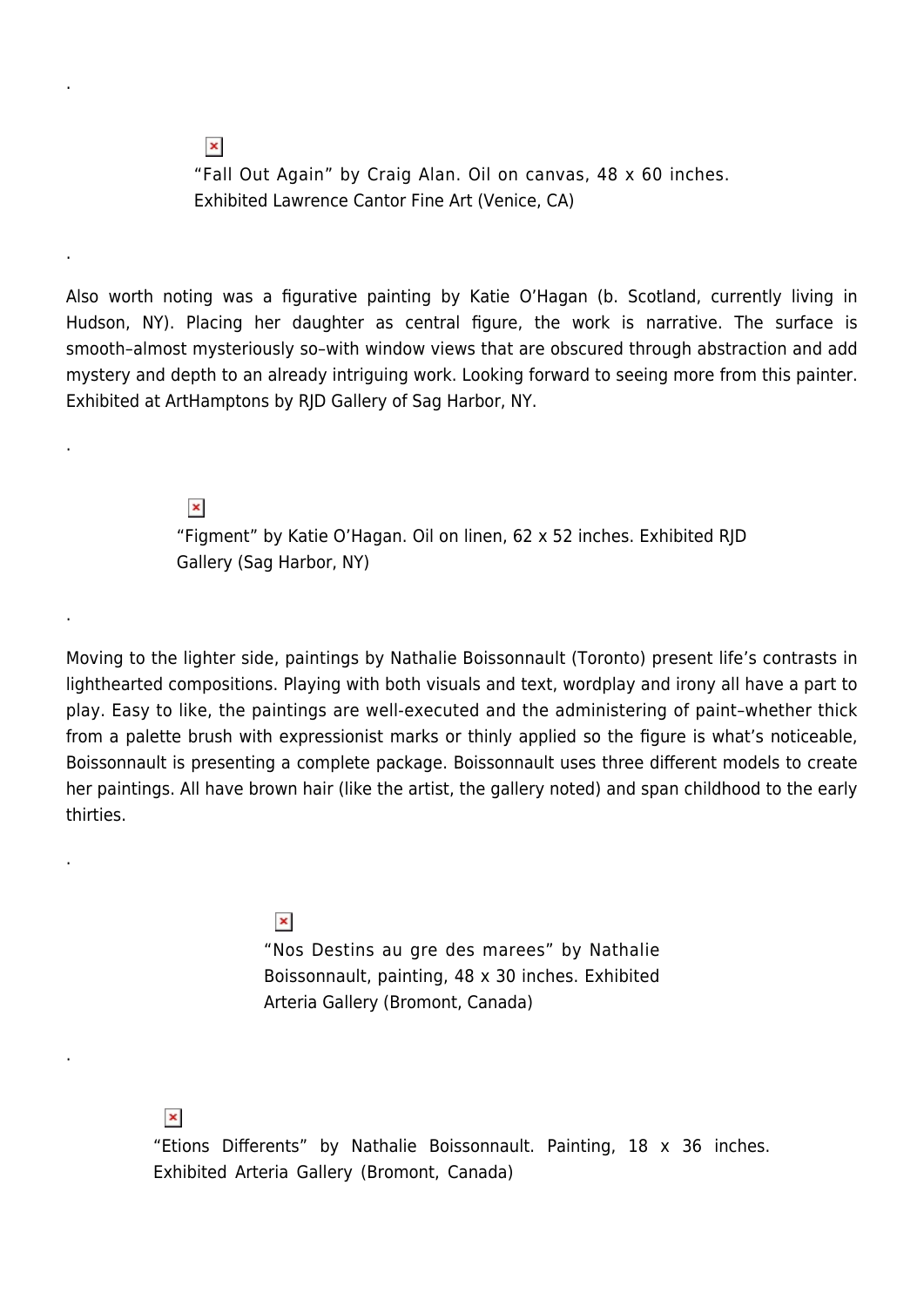"Fall Out Again" by Craig Alan. Oil on canvas, 48 x 60 inches. Exhibited Lawrence Cantor Fine Art (Venice, CA)

Also worth noting was a figurative painting by Katie O'Hagan (b. Scotland, currently living in Hudson, NY). Placing her daughter as central figure, the work is narrative. The surface is smooth–almost mysteriously so–with window views that are obscured through abstraction and add mystery and depth to an already intriguing work. Looking forward to seeing more from this painter. Exhibited at ArtHamptons by RJD Gallery of Sag Harbor, NY.

> $\pmb{\times}$ "Figment" by Katie O'Hagan. Oil on linen, 62 x 52 inches. Exhibited RJD Gallery (Sag Harbor, NY)

Moving to the lighter side, paintings by Nathalie Boissonnault (Toronto) present life's contrasts in lighthearted compositions. Playing with both visuals and text, wordplay and irony all have a part to play. Easy to like, the paintings are well-executed and the administering of paint–whether thick from a palette brush with expressionist marks or thinly applied so the figure is what's noticeable, Boissonnault is presenting a complete package. Boissonnault uses three different models to create her paintings. All have brown hair (like the artist, the gallery noted) and span childhood to the early thirties.

> $\pmb{\times}$ "Nos Destins au gre des marees" by Nathalie Boissonnault, painting, 48 x 30 inches. Exhibited Arteria Gallery (Bromont, Canada)

 $\pmb{\times}$ 

.

 $\pmb{\times}$ 

.

.

.

.

.

"Etions Differents" by Nathalie Boissonnault. Painting, 18 x 36 inches. Exhibited Arteria Gallery (Bromont, Canada)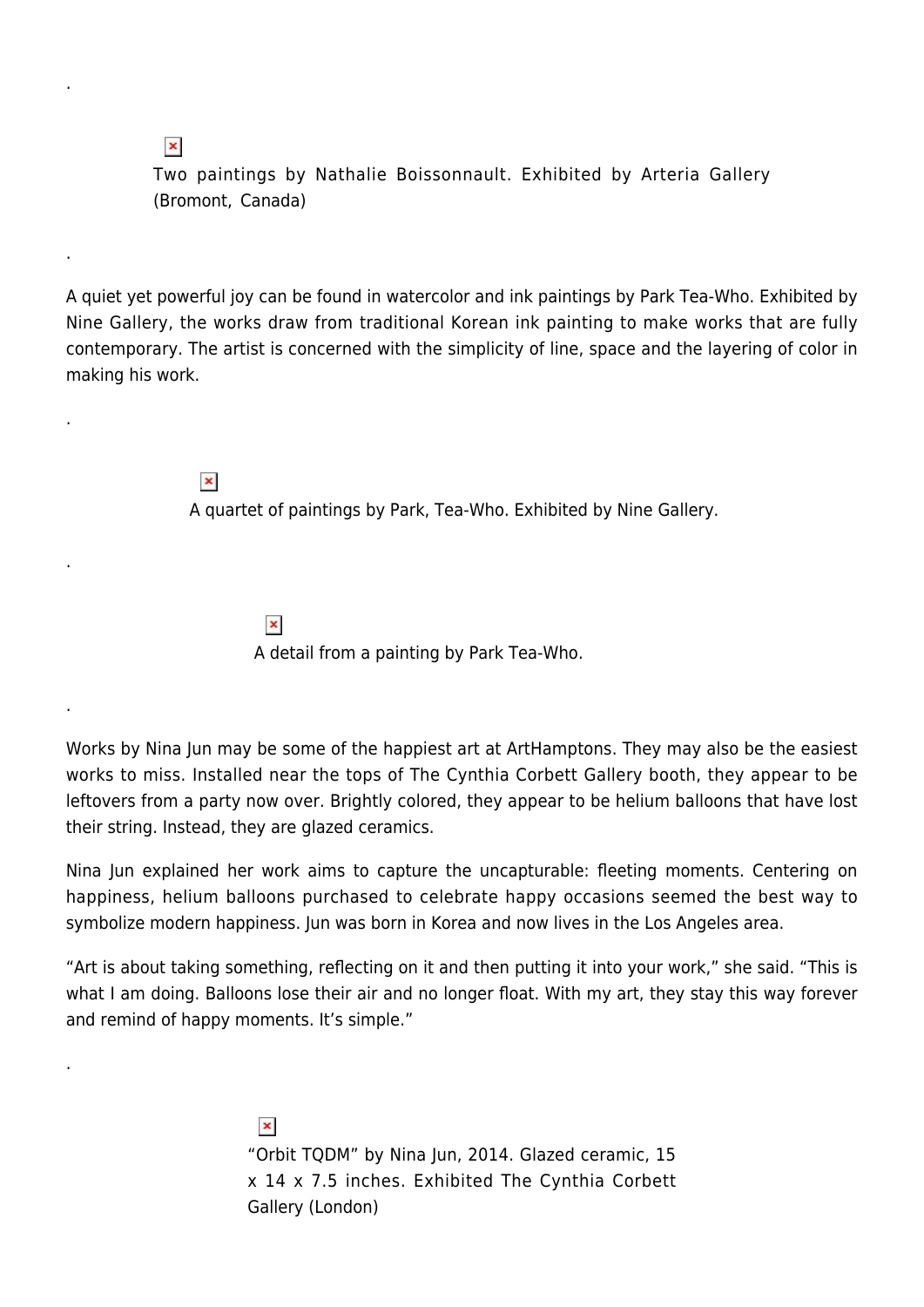$\pmb{\times}$ 

.

.

.

.

.

.

Two paintings by Nathalie Boissonnault. Exhibited by Arteria Gallery (Bromont, Canada)

A quiet yet powerful joy can be found in watercolor and ink paintings by Park Tea-Who. Exhibited by Nine Gallery, the works draw from traditional Korean ink painting to make works that are fully contemporary. The artist is concerned with the simplicity of line, space and the layering of color in making his work.

 $\pmb{\times}$ 

A quartet of paintings by Park, Tea-Who. Exhibited by Nine Gallery.

 $\pmb{\times}$ A detail from a painting by Park Tea-Who.

Works by Nina Jun may be some of the happiest art at ArtHamptons. They may also be the easiest works to miss. Installed near the tops of The Cynthia Corbett Gallery booth, they appear to be leftovers from a party now over. Brightly colored, they appear to be helium balloons that have lost their string. Instead, they are glazed ceramics.

Nina Jun explained her work aims to capture the uncapturable: fleeting moments. Centering on happiness, helium balloons purchased to celebrate happy occasions seemed the best way to symbolize modern happiness. Jun was born in Korea and now lives in the Los Angeles area.

"Art is about taking something, reflecting on it and then putting it into your work," she said. "This is what I am doing. Balloons lose their air and no longer float. With my art, they stay this way forever and remind of happy moments. It's simple."

> $\pmb{\times}$ "Orbit TQDM" by Nina Jun, 2014. Glazed ceramic, 15 x 14 x 7.5 inches. Exhibited The Cynthia Corbett Gallery (London)